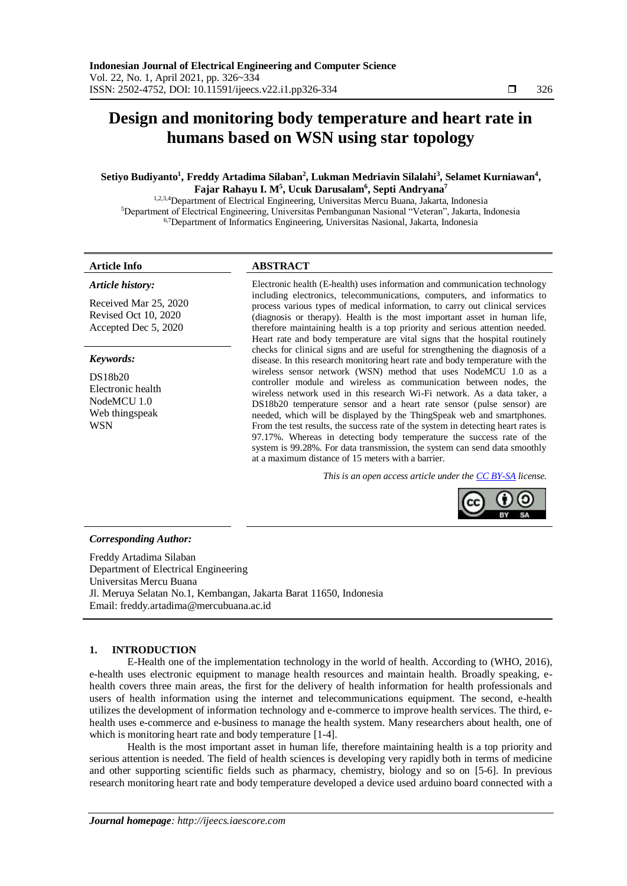## **Design and monitoring body temperature and heart rate in humans based on WSN using star topology**

#### **Setiyo Budiyanto<sup>1</sup> , Freddy Artadima Silaban<sup>2</sup> , Lukman Medriavin Silalahi<sup>3</sup> , Selamet Kurniawan<sup>4</sup> , Fajar Rahayu I. M<sup>5</sup> , Ucuk Darusalam<sup>6</sup> , Septi Andryana<sup>7</sup>**

1,2,3,4Department of Electrical Engineering, Universitas Mercu Buana, Jakarta, Indonesia <sup>5</sup>Department of Electrical Engineering, Universitas Pembangunan Nasional "Veteran", Jakarta, Indonesia 6,7Department of Informatics Engineering, Universitas Nasional, Jakarta, Indonesia

#### **Article Info ABSTRACT**

*Article history:*

Received Mar 25, 2020 Revised Oct 10, 2020

# Accepted Dec 5, 2020

*Keywords:*

DS18b20 Electronic health NodeMCU 1.0 Web thingspeak WSN

Electronic health (E-health) uses information and communication technology including electronics, telecommunications, computers, and informatics to process various types of medical information, to carry out clinical services (diagnosis or therapy). Health is the most important asset in human life, therefore maintaining health is a top priority and serious attention needed. Heart rate and body temperature are vital signs that the hospital routinely checks for clinical signs and are useful for strengthening the diagnosis of a disease. In this research monitoring heart rate and body temperature with the wireless sensor network (WSN) method that uses NodeMCU 1.0 as a controller module and wireless as communication between nodes, the wireless network used in this research Wi-Fi network. As a data taker, a DS18b20 temperature sensor and a heart rate sensor (pulse sensor) are needed, which will be displayed by the ThingSpeak web and smartphones. From the test results, the success rate of the system in detecting heart rates is 97.17%. Whereas in detecting body temperature the success rate of the system is 99.28%. For data transmission, the system can send data smoothly at a maximum distance of 15 meters with a barrier.

*This is an open access article under the [CC BY-SA](https://creativecommons.org/licenses/by-sa/4.0/) license.*



#### *Corresponding Author:*

Freddy Artadima Silaban Department of Electrical Engineering Universitas Mercu Buana Jl. Meruya Selatan No.1, Kembangan, Jakarta Barat 11650, Indonesia Email: [freddy.artadima@mercubuana.ac.id](mailto:freddy.artadima@mercubuana.ac.id)

#### **1. INTRODUCTION**

E-Health one of the implementation technology in the world of health. According to (WHO, 2016), e-health uses electronic equipment to manage health resources and maintain health. Broadly speaking, ehealth covers three main areas, the first for the delivery of health information for health professionals and users of health information using the internet and telecommunications equipment. The second, e-health utilizes the development of information technology and e-commerce to improve health services. The third, ehealth uses e-commerce and e-business to manage the health system. Many researchers about health, one of which is monitoring heart rate and body temperature [1-4].

Health is the most important asset in human life, therefore maintaining health is a top priority and serious attention is needed. The field of health sciences is developing very rapidly both in terms of medicine and other supporting scientific fields such as pharmacy, chemistry, biology and so on [5-6]. In previous research monitoring heart rate and body temperature developed a device used arduino board connected with a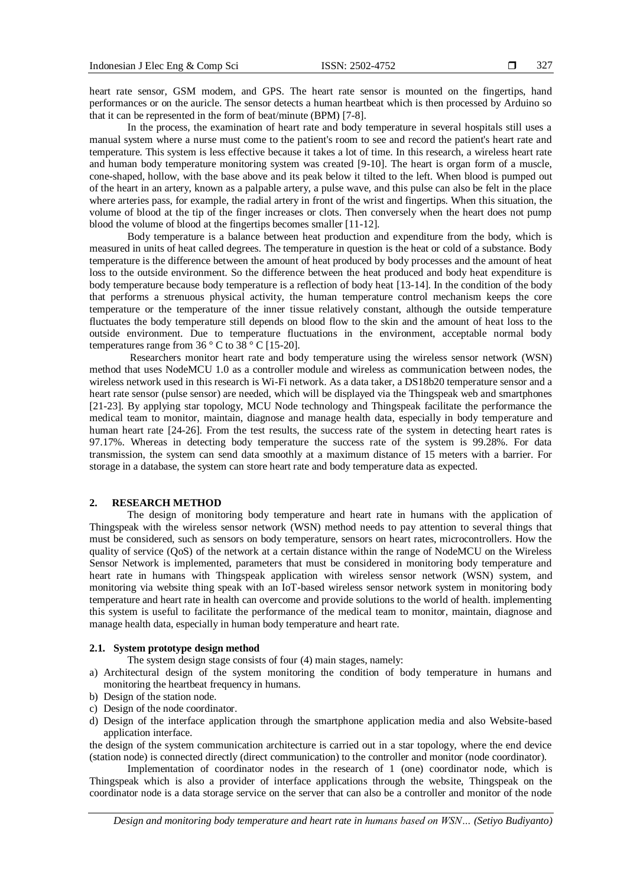heart rate sensor, GSM modem, and GPS. The heart rate sensor is mounted on the fingertips, hand performances or on the auricle. The sensor detects a human heartbeat which is then processed by Arduino so that it can be represented in the form of beat/minute (BPM) [7-8].

In the process, the examination of heart rate and body temperature in several hospitals still uses a manual system where a nurse must come to the patient's room to see and record the patient's heart rate and temperature. This system is less effective because it takes a lot of time. In this research, a wireless heart rate and human body temperature monitoring system was created [9-10]. The heart is organ form of a muscle, cone-shaped, hollow, with the base above and its peak below it tilted to the left. When blood is pumped out of the heart in an artery, known as a palpable artery, a pulse wave, and this pulse can also be felt in the place where arteries pass, for example, the radial artery in front of the wrist and fingertips. When this situation, the volume of blood at the tip of the finger increases or clots. Then conversely when the heart does not pump blood the volume of blood at the fingertips becomes smaller [11-12].

Body temperature is a balance between heat production and expenditure from the body, which is measured in units of heat called degrees. The temperature in question is the heat or cold of a substance. Body temperature is the difference between the amount of heat produced by body processes and the amount of heat loss to the outside environment. So the difference between the heat produced and body heat expenditure is body temperature because body temperature is a reflection of body heat [13-14]. In the condition of the body that performs a strenuous physical activity, the human temperature control mechanism keeps the core temperature or the temperature of the inner tissue relatively constant, although the outside temperature fluctuates the body temperature still depends on blood flow to the skin and the amount of heat loss to the outside environment. Due to temperature fluctuations in the environment, acceptable normal body temperatures range from  $36^\circ$  C to  $38^\circ$  C [15-20].

Researchers monitor heart rate and body temperature using the wireless sensor network (WSN) method that uses NodeMCU 1.0 as a controller module and wireless as communication between nodes, the wireless network used in this research is Wi-Fi network. As a data taker, a DS18b20 temperature sensor and a heart rate sensor (pulse sensor) are needed, which will be displayed via the Thingspeak web and smartphones [21-23]. By applying star topology, MCU Node technology and Thingspeak facilitate the performance the medical team to monitor, maintain, diagnose and manage health data, especially in body temperature and human heart rate [24-26]. From the test results, the success rate of the system in detecting heart rates is 97.17%. Whereas in detecting body temperature the success rate of the system is 99.28%. For data transmission, the system can send data smoothly at a maximum distance of 15 meters with a barrier. For storage in a database, the system can store heart rate and body temperature data as expected.

#### **2. RESEARCH METHOD**

The design of monitoring body temperature and heart rate in humans with the application of Thingspeak with the wireless sensor network (WSN) method needs to pay attention to several things that must be considered, such as sensors on body temperature, sensors on heart rates, microcontrollers. How the quality of service (QoS) of the network at a certain distance within the range of NodeMCU on the Wireless Sensor Network is implemented, parameters that must be considered in monitoring body temperature and heart rate in humans with Thingspeak application with wireless sensor network (WSN) system, and monitoring via website thing speak with an IoT-based wireless sensor network system in monitoring body temperature and heart rate in health can overcome and provide solutions to the world of health. implementing this system is useful to facilitate the performance of the medical team to monitor, maintain, diagnose and manage health data, especially in human body temperature and heart rate.

#### **2.1. System prototype design method**

The system design stage consists of four (4) main stages, namely:

- a) Architectural design of the system monitoring the condition of body temperature in humans and monitoring the heartbeat frequency in humans.
- b) Design of the station node.
- c) Design of the node coordinator.
- d) Design of the interface application through the smartphone application media and also Website-based application interface.

the design of the system communication architecture is carried out in a star topology, where the end device (station node) is connected directly (direct communication) to the controller and monitor (node coordinator).

Implementation of coordinator nodes in the research of 1 (one) coordinator node, which is Thingspeak which is also a provider of interface applications through the website, Thingspeak on the coordinator node is a data storage service on the server that can also be a controller and monitor of the node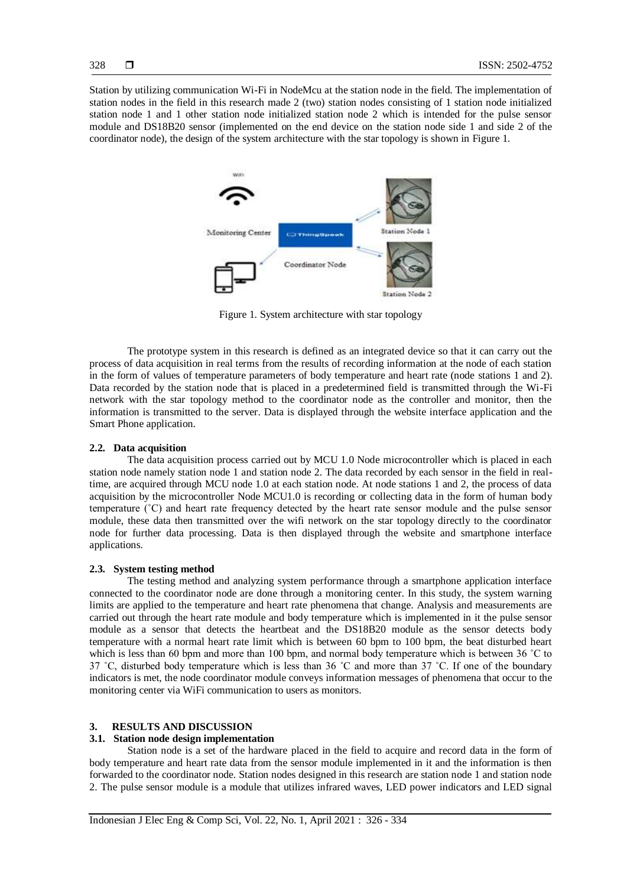Station by utilizing communication Wi-Fi in NodeMcu at the station node in the field. The implementation of station nodes in the field in this research made 2 (two) station nodes consisting of 1 station node initialized station node 1 and 1 other station node initialized station node 2 which is intended for the pulse sensor module and DS18B20 sensor (implemented on the end device on the station node side 1 and side 2 of the coordinator node), the design of the system architecture with the star topology is shown in Figure 1.



Figure 1. System architecture with star topology

The prototype system in this research is defined as an integrated device so that it can carry out the process of data acquisition in real terms from the results of recording information at the node of each station in the form of values of temperature parameters of body temperature and heart rate (node stations 1 and 2). Data recorded by the station node that is placed in a predetermined field is transmitted through the Wi-Fi network with the star topology method to the coordinator node as the controller and monitor, then the information is transmitted to the server. Data is displayed through the website interface application and the Smart Phone application.

#### **2.2. Data acquisition**

The data acquisition process carried out by MCU 1.0 Node microcontroller which is placed in each station node namely station node 1 and station node 2. The data recorded by each sensor in the field in realtime, are acquired through MCU node 1.0 at each station node. At node stations 1 and 2, the process of data acquisition by the microcontroller Node MCU1.0 is recording or collecting data in the form of human body temperature (˚C) and heart rate frequency detected by the heart rate sensor module and the pulse sensor module, these data then transmitted over the wifi network on the star topology directly to the coordinator node for further data processing. Data is then displayed through the website and smartphone interface applications.

#### **2.3. System testing method**

The testing method and analyzing system performance through a smartphone application interface connected to the coordinator node are done through a monitoring center. In this study, the system warning limits are applied to the temperature and heart rate phenomena that change. Analysis and measurements are carried out through the heart rate module and body temperature which is implemented in it the pulse sensor module as a sensor that detects the heartbeat and the DS18B20 module as the sensor detects body temperature with a normal heart rate limit which is between 60 bpm to 100 bpm, the beat disturbed heart which is less than 60 bpm and more than 100 bpm, and normal body temperature which is between 36 °C to 37 ˚C, disturbed body temperature which is less than 36 ˚C and more than 37 ˚C. If one of the boundary indicators is met, the node coordinator module conveys information messages of phenomena that occur to the monitoring center via WiFi communication to users as monitors.

#### **3. RESULTS AND DISCUSSION**

#### **3.1. Station node design implementation**

Station node is a set of the hardware placed in the field to acquire and record data in the form of body temperature and heart rate data from the sensor module implemented in it and the information is then forwarded to the coordinator node. Station nodes designed in this research are station node 1 and station node 2. The pulse sensor module is a module that utilizes infrared waves, LED power indicators and LED signal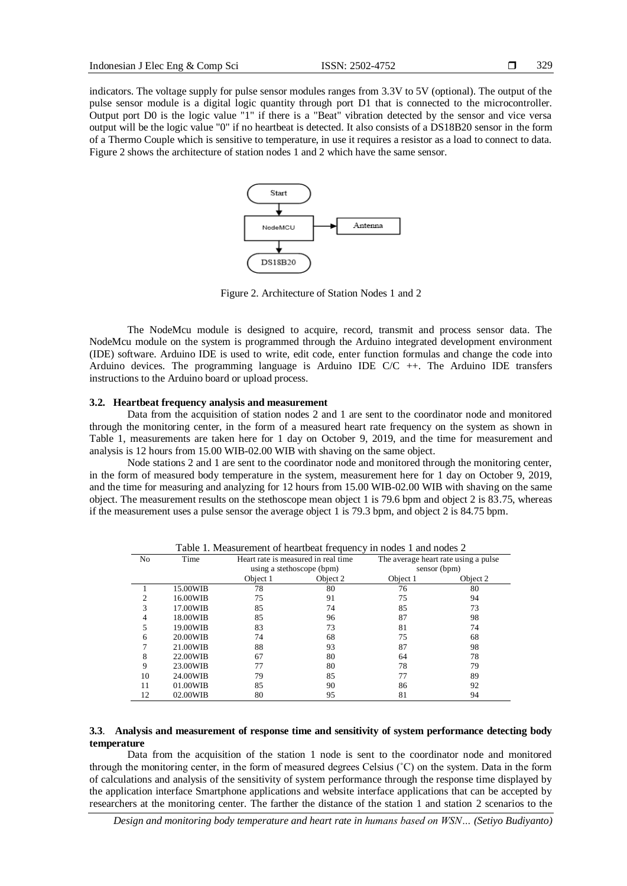indicators. The voltage supply for pulse sensor modules ranges from 3.3V to 5V (optional). The output of the pulse sensor module is a digital logic quantity through port D1 that is connected to the microcontroller. Output port D0 is the logic value "1" if there is a "Beat" vibration detected by the sensor and vice versa output will be the logic value "0" if no heartbeat is detected. It also consists of a DS18B20 sensor in the form of a Thermo Couple which is sensitive to temperature, in use it requires a resistor as a load to connect to data. Figure 2 shows the architecture of station nodes 1 and 2 which have the same sensor.



Figure 2. Architecture of Station Nodes 1 and 2

The NodeMcu module is designed to acquire, record, transmit and process sensor data. The NodeMcu module on the system is programmed through the Arduino integrated development environment (IDE) software. Arduino IDE is used to write, edit code, enter function formulas and change the code into Arduino devices. The programming language is Arduino IDE C/C ++. The Arduino IDE transfers instructions to the Arduino board or upload process.

#### **3.2. Heartbeat frequency analysis and measurement**

Data from the acquisition of station nodes 2 and 1 are sent to the coordinator node and monitored through the monitoring center, in the form of a measured heart rate frequency on the system as shown in Table 1, measurements are taken here for 1 day on October 9, 2019, and the time for measurement and analysis is 12 hours from 15.00 WIB-02.00 WIB with shaving on the same object.

Node stations 2 and 1 are sent to the coordinator node and monitored through the monitoring center, in the form of measured body temperature in the system, measurement here for 1 day on October 9, 2019, and the time for measuring and analyzing for 12 hours from 15.00 WIB-02.00 WIB with shaving on the same object. The measurement results on the stethoscope mean object 1 is 79.6 bpm and object 2 is 83.75, whereas if the measurement uses a pulse sensor the average object 1 is 79.3 bpm, and object 2 is 84.75 bpm.

| No | Time     | rative 1. Measurement or neuroleat frequency in hours 1 and hours $\omega$<br>Heart rate is measured in real time<br>using a stethoscope (bpm) |          | The average heart rate using a pulse<br>sensor (bpm) |          |
|----|----------|------------------------------------------------------------------------------------------------------------------------------------------------|----------|------------------------------------------------------|----------|
|    |          |                                                                                                                                                |          |                                                      |          |
|    |          | Object 1                                                                                                                                       | Object 2 | Object 1                                             | Object 2 |
|    | 15.00WIB | 78                                                                                                                                             | 80       | 76                                                   | 80       |
|    | 16.00WIB | 75                                                                                                                                             | 91       | 75                                                   | 94       |
| 3  | 17.00WIB | 85                                                                                                                                             | 74       | 85                                                   | 73       |
| 4  | 18.00WIB | 85                                                                                                                                             | 96       | 87                                                   | 98       |
| 5  | 19.00WIB | 83                                                                                                                                             | 73       | 81                                                   | 74       |
| 6  | 20.00WIB | 74                                                                                                                                             | 68       | 75                                                   | 68       |
|    | 21.00WIB | 88                                                                                                                                             | 93       | 87                                                   | 98       |
| 8  | 22.00WIB | 67                                                                                                                                             | 80       | 64                                                   | 78       |
| 9  | 23.00WIB | 77                                                                                                                                             | 80       | 78                                                   | 79       |
| 10 | 24.00WIB | 79                                                                                                                                             | 85       | 77                                                   | 89       |
| 11 | 01.00WIB | 85                                                                                                                                             | 90       | 86                                                   | 92       |
| 12 | 02.00WIB | 80                                                                                                                                             | 95       | 81                                                   | 94       |

Table 1. Measurement of heartbeat frequency in nodes 1 and nodes 2

#### **3.3**. **Analysis and measurement of response time and sensitivity of system performance detecting body temperature**

Data from the acquisition of the station 1 node is sent to the coordinator node and monitored through the monitoring center, in the form of measured degrees Celsius (˚C) on the system. Data in the form of calculations and analysis of the sensitivity of system performance through the response time displayed by the application interface Smartphone applications and website interface applications that can be accepted by researchers at the monitoring center. The farther the distance of the station 1 and station 2 scenarios to the

*Design and monitoring body temperature and heart rate in humans based on WSN… (Setiyo Budiyanto)*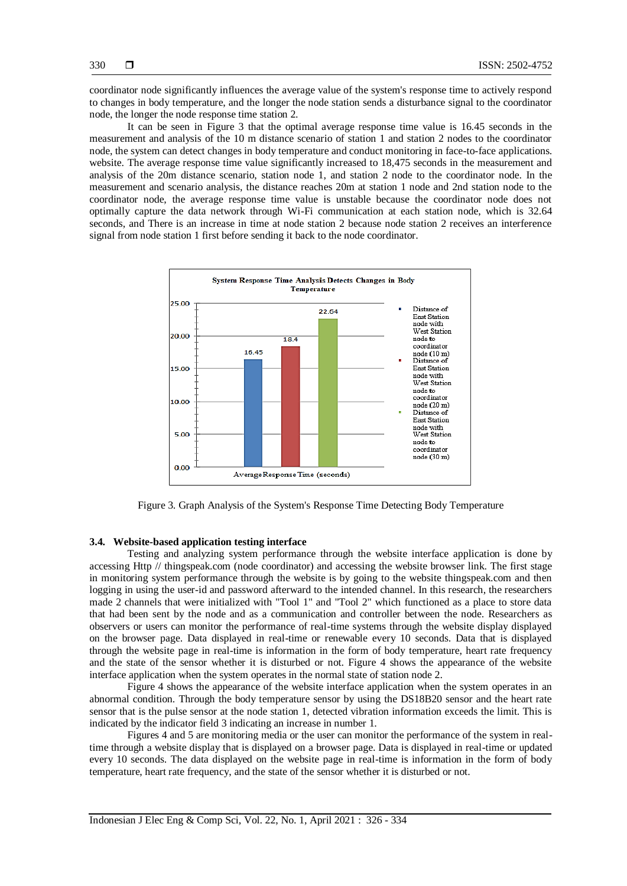coordinator node significantly influences the average value of the system's response time to actively respond to changes in body temperature, and the longer the node station sends a disturbance signal to the coordinator node, the longer the node response time station 2.

It can be seen in Figure 3 that the optimal average response time value is 16.45 seconds in the measurement and analysis of the 10 m distance scenario of station 1 and station 2 nodes to the coordinator node, the system can detect changes in body temperature and conduct monitoring in face-to-face applications. website. The average response time value significantly increased to 18,475 seconds in the measurement and analysis of the 20m distance scenario, station node 1, and station 2 node to the coordinator node. In the measurement and scenario analysis, the distance reaches 20m at station 1 node and 2nd station node to the coordinator node, the average response time value is unstable because the coordinator node does not optimally capture the data network through Wi-Fi communication at each station node, which is 32.64 seconds, and There is an increase in time at node station 2 because node station 2 receives an interference signal from node station 1 first before sending it back to the node coordinator.



Figure 3. Graph Analysis of the System's Response Time Detecting Body Temperature

#### **3.4. Website-based application testing interface**

Testing and analyzing system performance through the website interface application is done by accessing Http // thingspeak.com (node coordinator) and accessing the website browser link. The first stage in monitoring system performance through the website is by going to the website thingspeak.com and then logging in using the user-id and password afterward to the intended channel. In this research, the researchers made 2 channels that were initialized with "Tool 1" and "Tool 2" which functioned as a place to store data that had been sent by the node and as a communication and controller between the node. Researchers as observers or users can monitor the performance of real-time systems through the website display displayed on the browser page. Data displayed in real-time or renewable every 10 seconds. Data that is displayed through the website page in real-time is information in the form of body temperature, heart rate frequency and the state of the sensor whether it is disturbed or not. Figure 4 shows the appearance of the website interface application when the system operates in the normal state of station node 2.

Figure 4 shows the appearance of the website interface application when the system operates in an abnormal condition. Through the body temperature sensor by using the DS18B20 sensor and the heart rate sensor that is the pulse sensor at the node station 1, detected vibration information exceeds the limit. This is indicated by the indicator field 3 indicating an increase in number 1.

Figures 4 and 5 are monitoring media or the user can monitor the performance of the system in realtime through a website display that is displayed on a browser page. Data is displayed in real-time or updated every 10 seconds. The data displayed on the website page in real-time is information in the form of body temperature, heart rate frequency, and the state of the sensor whether it is disturbed or not.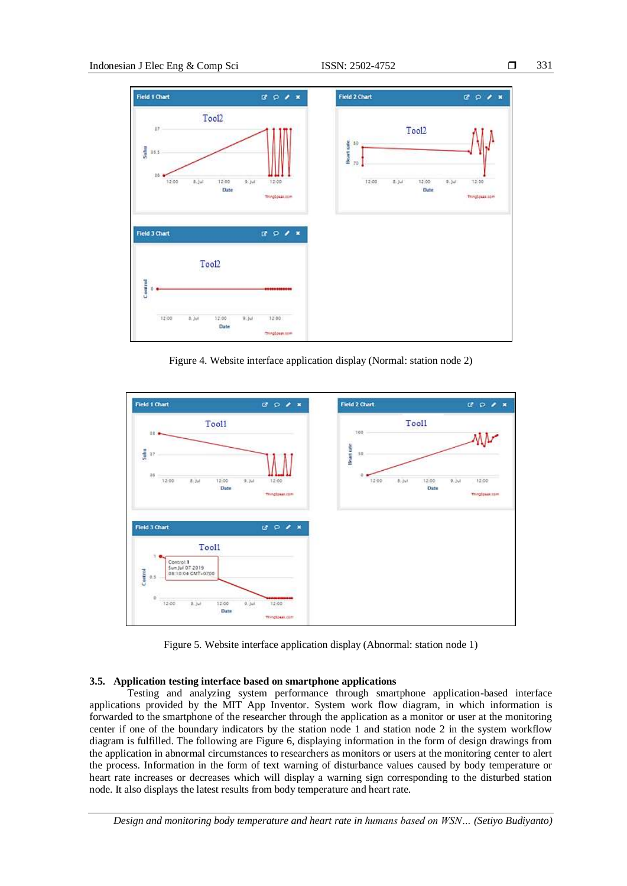

Figure 4. Website interface application display (Normal: station node 2)



Figure 5. Website interface application display (Abnormal: station node 1)

### **3.5. Application testing interface based on smartphone applications**

Testing and analyzing system performance through smartphone application-based interface applications provided by the MIT App Inventor. System work flow diagram, in which information is forwarded to the smartphone of the researcher through the application as a monitor or user at the monitoring center if one of the boundary indicators by the station node 1 and station node 2 in the system workflow diagram is fulfilled. The following are Figure 6, displaying information in the form of design drawings from the application in abnormal circumstances to researchers as monitors or users at the monitoring center to alert the process. Information in the form of text warning of disturbance values caused by body temperature or heart rate increases or decreases which will display a warning sign corresponding to the disturbed station node. It also displays the latest results from body temperature and heart rate.

*Design and monitoring body temperature and heart rate in humans based on WSN… (Setiyo Budiyanto)*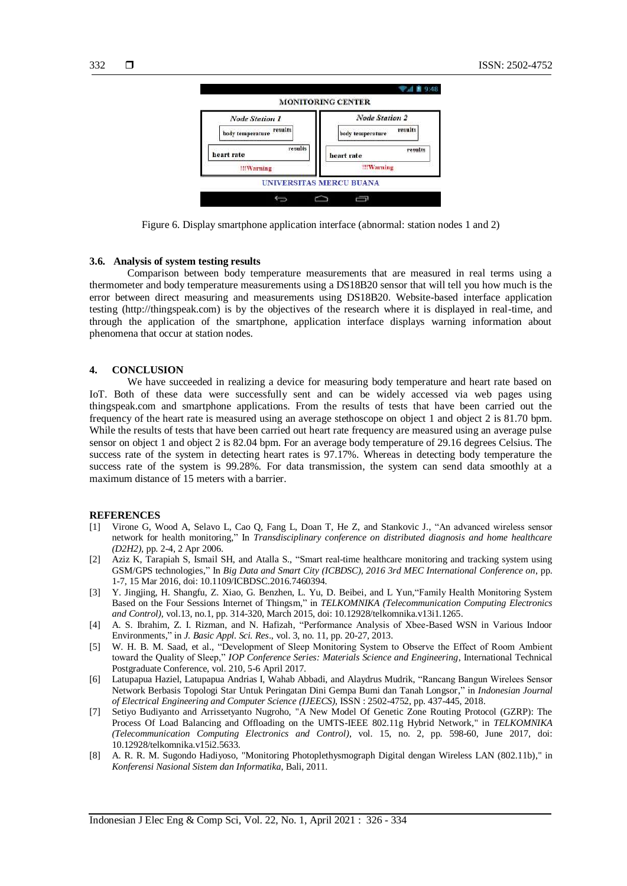

Figure 6. Display smartphone application interface (abnormal: station nodes 1 and 2)

#### **3.6. Analysis of system testing results**

Comparison between body temperature measurements that are measured in real terms using a thermometer and body temperature measurements using a DS18B20 sensor that will tell you how much is the error between direct measuring and measurements using DS18B20. Website-based interface application testing (http://thingspeak.com) is by the objectives of the research where it is displayed in real-time, and through the application of the smartphone, application interface displays warning information about phenomena that occur at station nodes.

#### **4. CONCLUSION**

We have succeeded in realizing a device for measuring body temperature and heart rate based on IoT. Both of these data were successfully sent and can be widely accessed via web pages using thingspeak.com and smartphone applications. From the results of tests that have been carried out the frequency of the heart rate is measured using an average stethoscope on object 1 and object 2 is 81.70 bpm. While the results of tests that have been carried out heart rate frequency are measured using an average pulse sensor on object 1 and object 2 is 82.04 bpm. For an average body temperature of 29.16 degrees Celsius. The success rate of the system in detecting heart rates is 97.17%. Whereas in detecting body temperature the success rate of the system is 99.28%. For data transmission, the system can send data smoothly at a maximum distance of 15 meters with a barrier.

#### **REFERENCES**

- [1] Virone G, Wood A, Selavo L, Cao Q, Fang L, Doan T, He Z, and Stankovic J., "An advanced wireless sensor network for health monitoring," In *Transdisciplinary conference on distributed diagnosis and home healthcare (D2H2),* pp. 2-4, 2 Apr 2006.
- [2] Aziz K, Tarapiah S, Ismail SH, and Atalla S., "Smart real-time healthcare monitoring and tracking system using GSM/GPS technologies," In *Big Data and Smart City (ICBDSC), 2016 3rd MEC International Conference on*, pp. 1-7, 15 Mar 2016, doi: 10.1109/ICBDSC.2016.7460394.
- [3] Y. Jingjing, H. Shangfu, Z. Xiao, G. Benzhen, L. Yu, D. Beibei, and L Yun,"Family Health Monitoring System Based on the Four Sessions Internet of Thingsm," in *TELKOMNIKA (Telecommunication Computing Electronics and Control)*, vol.13, no.1, pp. 314-320, March 2015, doi: 10.12928/telkomnika.v13i1.1265.
- [4] A. S. Ibrahim, Z. I. Rizman, and N. Hafizah, "Performance Analysis of Xbee-Based WSN in Various Indoor Environments," in *J. Basic Appl. Sci. Res*., vol. 3, no. 11, pp. 20-27, 2013.
- [5] W. H. B. M. Saad, et al., "Development of Sleep Monitoring System to Observe the Effect of Room Ambient toward the Quality of Sleep," *[IOP Conference Series: Materials Science and Engineering](https://iopscience.iop.org/journal/1757-899X)*[,](https://iopscience.iop.org/volume/1757-899X/210) [International Technical](https://iopscience.iop.org/volume/1757-899X/210)  [Postgraduate Conference, vol. 210, 5-6 April](https://iopscience.iop.org/issue/1757-899X/210/1) 2017.
- [6] Latupapua Haziel, Latupapua Andrias I, Wahab Abbadi, and Alaydrus Mudrik, "Rancang Bangun Wirelees Sensor Network Berbasis Topologi Star Untuk Peringatan Dini Gempa Bumi dan Tanah Longsor," in *Indonesian Journal of Electrical Engineering and Computer Science (IJEECS)*, ISSN : 2502-4752, pp. 437-445, 2018.
- [7] Setiyo Budiyanto and Arrissetyanto Nugroho, "A New Model Of Genetic Zone Routing Protocol (GZRP): The Process Of Load Balancing and Offloading on the UMTS-IEEE 802.11g Hybrid Network," in *TELKOMNIKA (Telecommunication Computing Electronics and Control)*, vol. 15, no. 2, pp. 598-60, June 2017, doi: 10.12928/telkomnika.v15i2.5633.
- [8] A. R. R. M. Sugondo Hadiyoso, "Monitoring Photoplethysmograph Digital dengan Wireless LAN (802.11b)," in *Konferensi Nasional Sistem dan Informatika*, Bali, 2011.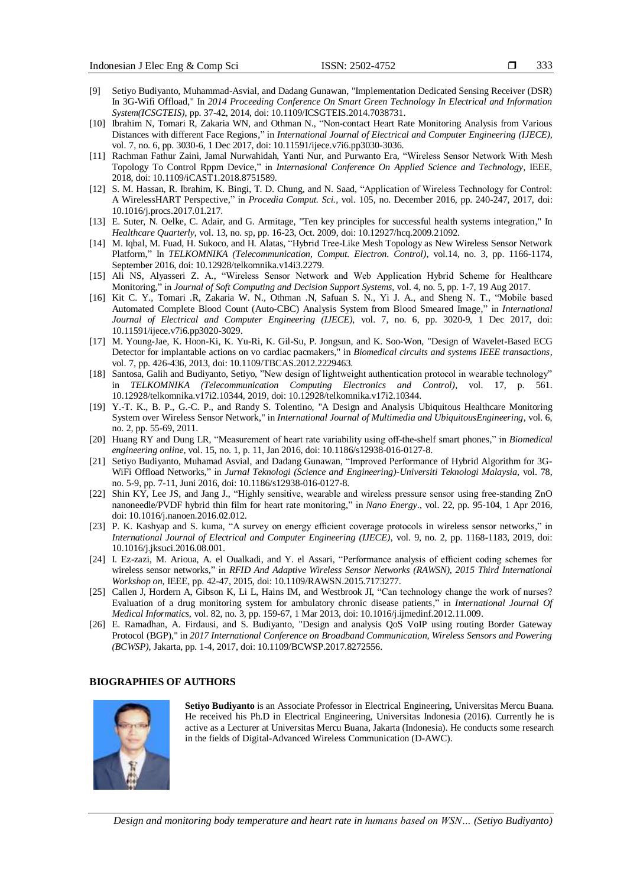- [9] Setiyo Budiyanto, Muhammad-Asvial, and Dadang Gunawan, "Implementation Dedicated Sensing Receiver (DSR) In 3G-Wifi Offload," In *2014 Proceeding Conference On Smart Green Technology In Electrical and Information System(ICSGTEIS)*, pp. 37-42, 2014, doi: 10.1109/ICSGTEIS.2014.7038731.
- [10] Ibrahim N, Tomari R, Zakaria WN, and Othman N., "Non-contact Heart Rate Monitoring Analysis from Various Distances with different Face Regions," in *International Journal of Electrical and Computer Engineering (IJECE)*, vol. 7, no. 6, pp. 3030-6, 1 Dec 2017, doi: 10.11591/ijece.v7i6.pp3030-3036.
- [11] Rachman Fathur Zaini, Jamal Nurwahidah, Yanti Nur, and Purwanto Era, "Wireless Sensor Network With Mesh Topology To Control Rppm Device," in *Internasional Conference On Applied Science and Technology*, IEEE, 2018, doi: 10.1109/iCAST1.2018.8751589.
- [12] S. M. Hassan, R. Ibrahim, K. Bingi, T. D. Chung, and N. Saad, "Application of Wireless Technology for Control: A WirelessHART Perspective," in *Procedia Comput. Sci.,* vol. 105, no. December 2016, pp. 240-247, 2017, doi: 10.1016/j.procs.2017.01.217.
- [13] E. Suter, N. Oelke, C. Adair, and G. Armitage, "Ten key principles for successful health systems integration," In *Healthcare Quarterly*, vol. 13, no. sp, pp. 16-23, Oct. 2009, doi: 10.12927/hcq.2009.21092.
- [14] M. Iqbal, M. Fuad, H. Sukoco, and H. Alatas, "Hybrid Tree-Like Mesh Topology as New Wireless Sensor Network Platform," In *TELKOMNIKA (Telecommunication, Comput. Electron. Control)*, vol.14, no. 3, pp. 1166-1174, September 2016, doi: 10.12928/telkomnika.v14i3.2279.
- [15] Ali NS, Alyasseri Z. A., "Wireless Sensor Network and Web Application Hybrid Scheme for Healthcare Monitoring," in *Journal of Soft Computing and Decision Support Systems*, vol. 4, no. 5, pp. 1-7, 19 Aug 2017.
- [16] Kit C. Y., Tomari .R, Zakaria W. N., Othman .N, Safuan S. N., Yi J. A., and Sheng N. T., "Mobile based Automated Complete Blood Count (Auto-CBC) Analysis System from Blood Smeared Image," in *International Journal of Electrical and Computer Engineering (IJECE),* vol. 7, no. 6, pp. 3020-9, 1 Dec 2017, doi: 10.11591/ijece.v7i6.pp3020-3029.
- [17] M. Young-Jae, K. Hoon-Ki, K. Yu-Ri, K. Gil-Su, P. Jongsun, and K. Soo-Won, "Design of Wavelet-Based ECG Detector for implantable actions on vo cardiac pacmakers," in *Biomedical circuits and systems IEEE transactions*, vol. 7, pp. 426-436, 2013, doi: 10.1109/TBCAS.2012.2229463.
- [18] Santosa, Galih and Budiyanto, Setiyo, "New design of lightweight authentication protocol in wearable technology" in *TELKOMNIKA (Telecommunication Computing Electronics and Control)*, vol. 17, p. 561. 10.12928/telkomnika.v17i2.10344, 2019, doi: 10.12928/telkomnika.v17i2.10344.
- [19] Y.-T. K., B. P., G.-C. P., and Randy S. Tolentino, "A Design and Analysis Ubiquitous Healthcare Monitoring System over Wireless Sensor Network," in *International Journal of Multimedia and UbiquitousEngineering*, vol. 6, no. 2, pp. 55-69, 2011.
- [20] Huang RY and Dung LR, "Measurement of heart rate variability using off-the-shelf smart phones," in *Biomedical engineering online*, vol. 15, no. 1, p. 11, Jan 2016, doi: 10.1186/s12938-016-0127-8.
- [21] Setiyo Budiyanto, Muhamad Asvial, and Dadang Gunawan, "Improved Performance of Hybrid Algorithm for 3G-WiFi Offload Networks," in *Jurnal Teknologi (Science and Engineering)-Universiti Teknologi Malaysia*, vol. 78, no. 5-9, pp. 7-11, Juni 2016, doi: 10.1186/s12938-016-0127-8.
- [22] Shin KY, Lee JS, and Jang J., "Highly sensitive, wearable and wireless pressure sensor using free-standing ZnO nanoneedle/PVDF hybrid thin film for heart rate monitoring," in *Nano Energy*., vol. 22, pp. 95-104, 1 Apr 2016, doi: 10.1016/j.nanoen.2016.02.012.
- [23] P. K. Kashyap and S. kuma, "A survey on energy efficient coverage protocols in wireless sensor networks," in *International Journal of Electrical and Computer Engineering (IJECE)*, vol. 9, no. 2, pp. 1168-1183, 2019, doi: 10.1016/j.jksuci.2016.08.001.
- [24] I. Ez-zazi, M. Arioua, A. el Oualkadi, and Y. el Assari, "Performance analysis of efficient coding schemes for wireless sensor networks," in *RFID And Adaptive Wireless Sensor Networks (RAWSN), 2015 Third International Workshop on*, IEEE, pp. 42-47, 2015, doi: 10.1109/RAWSN.2015.7173277.
- [25] Callen J, Hordern A, Gibson K, Li L, Hains IM, and Westbrook JI, "Can technology change the work of nurses? Evaluation of a drug monitoring system for ambulatory chronic disease patients," in *International Journal Of Medical Informatics*, vol. 82, no. 3, pp. 159-67, 1 Mar 2013, doi: 10.1016/j.ijmedinf.2012.11.009.
- [26] E. Ramadhan, A. Firdausi, and S. Budiyanto, "Design and analysis QoS VoIP using routing Border Gateway Protocol (BGP)," in *2017 International Conference on Broadband Communication, Wireless Sensors and Powering (BCWSP)*, Jakarta, pp. 1-4, 2017, doi: 10.1109/BCWSP.2017.8272556.

#### **BIOGRAPHIES OF AUTHORS**



**Setiyo Budiyanto** is an Associate Professor in Electrical Engineering, Universitas Mercu Buana. He received his Ph.D in Electrical Engineering, Universitas Indonesia (2016). Currently he is active as a Lecturer at Universitas Mercu Buana, Jakarta (Indonesia). He conducts some research in the fields of Digital-Advanced Wireless Communication (D-AWC).

*Design and monitoring body temperature and heart rate in humans based on WSN… (Setiyo Budiyanto)*